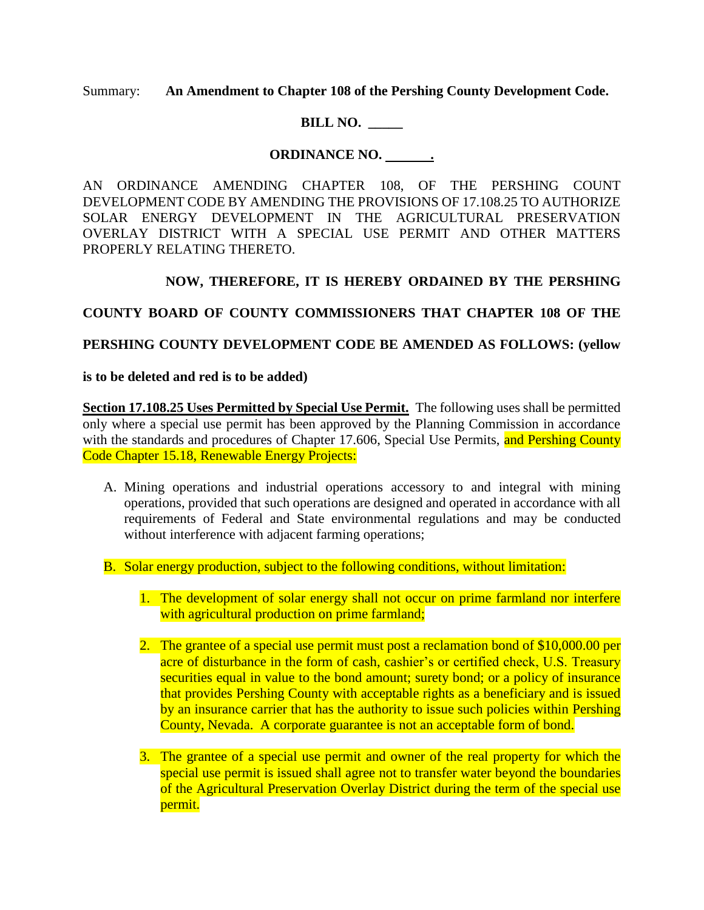Summary: **An Amendment to Chapter 108 of the Pershing County Development Code.**

# **BILL NO. \_\_\_\_\_**

# ORDINANCE NO. \_\_\_\_\_\_\_\_

AN ORDINANCE AMENDING CHAPTER 108, OF THE PERSHING COUNT DEVELOPMENT CODE BY AMENDING THE PROVISIONS OF 17.108.25 TO AUTHORIZE SOLAR ENERGY DEVELOPMENT IN THE AGRICULTURAL PRESERVATION OVERLAY DISTRICT WITH A SPECIAL USE PERMIT AND OTHER MATTERS PROPERLY RELATING THERETO.

## **NOW, THEREFORE, IT IS HEREBY ORDAINED BY THE PERSHING**

**COUNTY BOARD OF COUNTY COMMISSIONERS THAT CHAPTER 108 OF THE** 

## **PERSHING COUNTY DEVELOPMENT CODE BE AMENDED AS FOLLOWS: (yellow**

### **is to be deleted and red is to be added)**

**Section 17.108.25 Uses Permitted by Special Use Permit.** The following uses shall be permitted only where a special use permit has been approved by the Planning Commission in accordance with the standards and procedures of Chapter 17.606, Special Use Permits, and Pershing County Code Chapter 15.18, Renewable Energy Projects:

- A. Mining operations and industrial operations accessory to and integral with mining operations, provided that such operations are designed and operated in accordance with all requirements of Federal and State environmental regulations and may be conducted without interference with adjacent farming operations;
- B. Solar energy production, subject to the following conditions, without limitation:
	- 1. The development of solar energy shall not occur on prime farmland nor interfere with agricultural production on prime farmland;
	- 2. The grantee of a special use permit must post a reclamation bond of \$10,000.00 per acre of disturbance in the form of cash, cashier's or certified check, U.S. Treasury securities equal in value to the bond amount; surety bond; or a policy of insurance that provides Pershing County with acceptable rights as a beneficiary and is issued by an insurance carrier that has the authority to issue such policies within Pershing County, Nevada. A corporate guarantee is not an acceptable form of bond.
	- 3. The grantee of a special use permit and owner of the real property for which the special use permit is issued shall agree not to transfer water beyond the boundaries of the Agricultural Preservation Overlay District during the term of the special use permit.